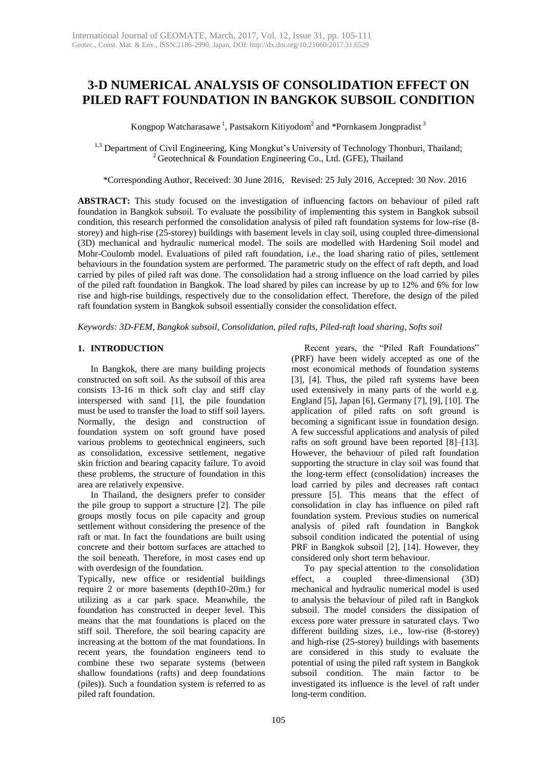# **3-D NUMERICAL ANALYSIS OF CONSOLIDATION EFFECT ON PILED RAFT FOUNDATION IN BANGKOK SUBSOIL CONDITION**

Kongpop Watcharasawe  $^1$ , Pastsakorn Kitiyodom $^2$  and \*Pornkasem Jongpradist  $^3$ 

<sup>1,3</sup> Department of Civil Engineering, King Mongkut's University of Technology Thonburi, Thailand; <sup>2</sup> Geotechnical & Foundation Engineering Co., Ltd. (GFE), Thailand

\*Corresponding Author, Received: 30 June 2016, Revised: 25 July 2016, Accepted: 30 Nov. 2016

**ABSTRACT:** This study focused on the investigation of influencing factors on behaviour of piled raft foundation in Bangkok subsoil. To evaluate the possibility of implementing this system in Bangkok subsoil condition, this research performed the consolidation analysis of piled raft foundation systems for low-rise (8 storey) and high-rise (25-storey) buildings with basement levels in clay soil, using coupled three-dimensional (3D) mechanical and hydraulic numerical model. The soils are modelled with Hardening Soil model and Mohr-Coulomb model. Evaluations of piled raft foundation, i.e., the load sharing ratio of piles, settlement behaviours in the foundation system are performed. The parametric study on the effect of raft depth, and load carried by piles of piled raft was done. The consolidation had a strong influence on the load carried by piles of the piled raft foundation in Bangkok. The load shared by piles can increase by up to 12% and 6% for low rise and high-rise buildings, respectively due to the consolidation effect. Therefore, the design of the piled raft foundation system in Bangkok subsoil essentially consider the consolidation effect.

*Keywords: 3D-FEM, Bangkok subsoil, Consolidation, piled rafts, Piled-raft load sharing, Softs soil*

## **1. INTRODUCTION**

In Bangkok, there are many building projects constructed on soft soil. As the subsoil of this area consists 13-16 m thick soft clay and stiff clay interspersed with sand [1], the pile foundation must be used to transfer the load to stiff soil layers. Normally, the design and construction of foundation system on soft ground have posed various problems to geotechnical engineers, such as consolidation, excessive settlement, negative skin friction and bearing capacity failure. To avoid these problems, the structure of foundation in this area are relatively expensive.

In Thailand, the designers prefer to consider the pile group to support a structure [2]. The pile groups mostly focus on pile capacity and group settlement without considering the presence of the raft or mat. In fact the foundations are built using concrete and their bottom surfaces are attached to the soil beneath. Therefore, in most cases end up with overdesign of the foundation.

Typically, new office or residential buildings require 2 or more basements (depth10-20m.) for utilizing as a car park space. Meanwhile, the foundation has constructed in deeper level. This means that the mat foundations is placed on the stiff soil. Therefore, the soil bearing capacity are increasing at the bottom of the mat foundations. In recent years, the foundation engineers tend to combine these two separate systems (between shallow foundations (rafts) and deep foundations (piles)). Such a foundation system is referred to as piled raft foundation.

Recent years, the "Piled Raft Foundations" (PRF) have been widely accepted as one of the most economical methods of foundation systems [3], [4]. Thus, the piled raft systems have been used extensively in many parts of the world e.g. England [5], Japan [6], Germany [7], [9], [10]. The application of piled rafts on soft ground is becoming a significant issue in foundation design. A few successful applications and analysis of piled rafts on soft ground have been reported [8]–[13]. However, the behaviour of piled raft foundation supporting the structure in clay soil was found that the long-term effect (consolidation) increases the load carried by piles and decreases raft contact pressure [5]. This means that the effect of consolidation in clay has influence on piled raft foundation system. Previous studies on numerical analysis of piled raft foundation in Bangkok subsoil condition indicated the potential of using PRF in Bangkok subsoil [2], [14]. However, they considered only short term behaviour.

To pay special attention to the consolidation effect, a coupled three-dimensional (3D) mechanical and hydraulic numerical model is used to analysis the behaviour of piled raft in Bangkok subsoil. The model considers the dissipation of excess pore water pressure in saturated clays. Two different building sizes, i.e., low-rise (8-storey) and high-rise (25-storey) buildings with basements are considered in this study to evaluate the potential of using the piled raft system in Bangkok subsoil condition. The main factor to be investigated its influence is the level of raft under long-term condition.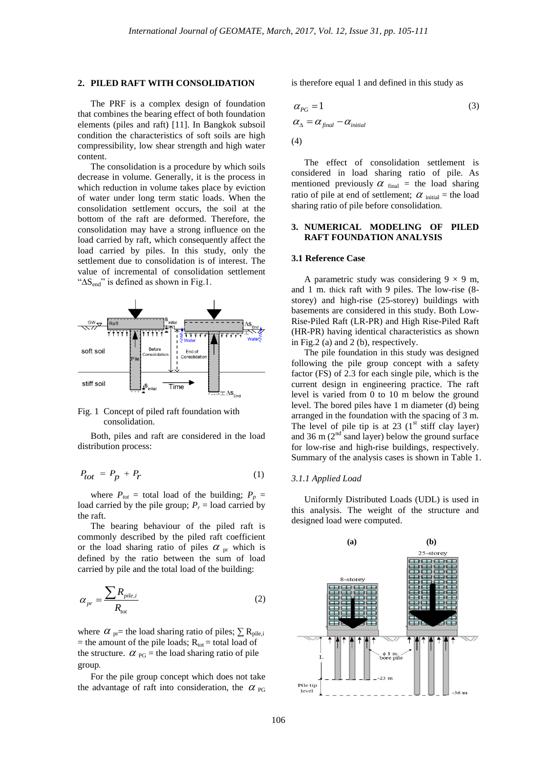#### **2. PILED RAFT WITH CONSOLIDATION**

The PRF is a complex design of foundation that combines the bearing effect of both foundation elements (piles and raft) [11]. In Bangkok subsoil condition the characteristics of soft soils are high compressibility, low shear strength and high water content.

The consolidation is a procedure by which soils decrease in volume. Generally, it is the process in which reduction in volume takes place by eviction of water under long term static loads. When the consolidation settlement occurs, the soil at the bottom of the raft are deformed. Therefore, the consolidation may have a strong influence on the load carried by raft, which consequently affect the load carried by piles. In this study, only the settlement due to consolidation is of interest. The value of incremental of consolidation settlement "∆Send" is defined as shown in Fig.1.



Fig. 1 Concept of piled raft foundation with consolidation.

Both, piles and raft are considered in the load distribution process:

$$
P_{tot} = P_p + P_r \tag{1}
$$

where  $P_{tot}$  = total load of the building;  $P_p$  = load carried by the pile group;  $P_r$  = load carried by the raft.

The bearing behaviour of the piled raft is commonly described by the piled raft coefficient or the load sharing ratio of piles  $\alpha_{pr}$  which is defined by the ratio between the sum of load carried by pile and the total load of the building:

$$
\alpha_{pr} = \frac{\sum R_{pile,i}}{R_{tot}} \tag{2}
$$

where  $\alpha$ <sub>pr</sub>= the load sharing ratio of piles;  $\sum R_{\text{pile,i}}$ = the amount of the pile loads;  $R_{\text{tot}}$  = total load of the structure.  $\alpha_{PG}$  = the load sharing ratio of pile group**.**

For the pile group concept which does not take the advantage of raft into consideration, the  $\alpha_{PG}$ 

is therefore equal 1 and defined in this study as

$$
\alpha_{PG} = 1
$$
\n
$$
\alpha_{\Delta} = \alpha_{\text{final}} - \alpha_{\text{initial}}
$$
\n(3)

The effect of consolidation settlement is considered in load sharing ratio of pile. As mentioned previously  $\alpha$  final = the load sharing ratio of pile at end of settlement;  $\alpha$  <sub>initial</sub> = the load sharing ratio of pile before consolidation.

## **3. NUMERICAL MODELING OF PILED RAFT FOUNDATION ANALYSIS**

#### **3.1 Reference Case**

A parametric study was considering  $9 \times 9$  m, and 1 m. thick raft with 9 piles. The low-rise (8 storey) and high-rise (25-storey) buildings with basements are considered in this study. Both Low-Rise-Piled Raft (LR-PR) and High Rise-Piled Raft (HR-PR) having identical characteristics as shown in Fig.2 (a) and 2 (b), respectively.

The pile foundation in this study was designed following the pile group concept with a safety factor (FS) of 2.3 for each single pile, which is the current design in engineering practice. The raft level is varied from 0 to 10 m below the ground level. The bored piles have 1 m diameter (d) being arranged in the foundation with the spacing of 3 m. The level of pile tip is at 23  $(1<sup>st</sup> stiff clay layer)$ and 36 m  $(2<sup>nd</sup>$  sand layer) below the ground surface for low-rise and high-rise buildings, respectively. Summary of the analysis cases is shown in Table 1.

#### *3.1.1 Applied Load*

Uniformly Distributed Loads (UDL) is used in this analysis. The weight of the structure and designed load were computed.

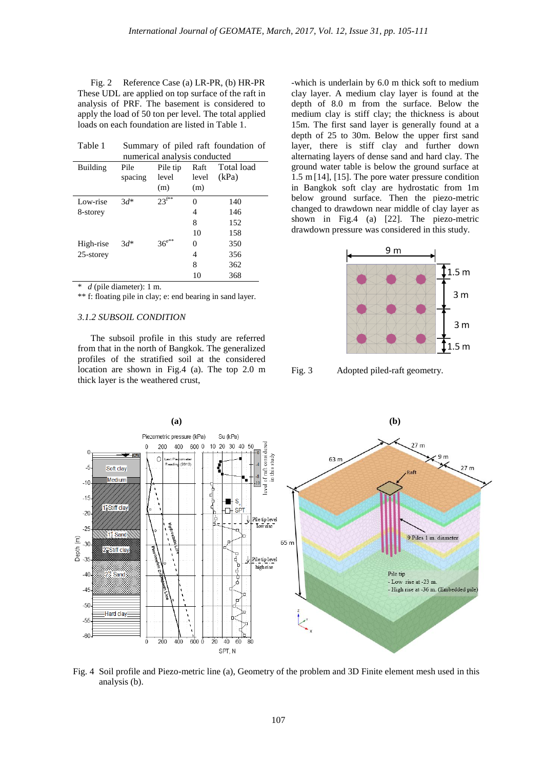Fig. 2 Reference Case (a) LR-PR, (b) HR-PR These UDL are applied on top surface of the raft in analysis of PRF. The basement is considered to apply the load of 50 ton per level. The total applied loads on each foundation are listed in Table 1.

| Table 1      | Summary of piled raft foundation of |               |       |            |  |  |  |  |  |  |
|--------------|-------------------------------------|---------------|-------|------------|--|--|--|--|--|--|
|              | numerical analysis conducted        |               |       |            |  |  |  |  |  |  |
| Building     | Pile                                | Pile tip      | Raft  | Total load |  |  |  |  |  |  |
|              | spacing                             | level         | level | (kPa)      |  |  |  |  |  |  |
|              |                                     | (m)           | (m)   |            |  |  |  |  |  |  |
| Low-rise     | $3d^*$                              | $23^{f**}$    | 0     | 140        |  |  |  |  |  |  |
| 8-storey     |                                     |               | 4     | 146        |  |  |  |  |  |  |
|              |                                     |               | 8     | 152        |  |  |  |  |  |  |
|              |                                     |               | 10    | 158        |  |  |  |  |  |  |
| High-rise    | $3d^*$                              | $36^{e^{**}}$ | 0     | 350        |  |  |  |  |  |  |
| $25$ -storey |                                     |               | 4     | 356        |  |  |  |  |  |  |
|              |                                     |               | 8     | 362        |  |  |  |  |  |  |
|              |                                     |               | 10    | 368        |  |  |  |  |  |  |

\* *d* (pile diameter): 1 m.

\*\* f: floating pile in clay; e: end bearing in sand layer.

#### *3.1.2 SUBSOIL CONDITION*

The subsoil profile in this study are referred from that in the north of Bangkok. The generalized profiles of the stratified soil at the considered location are shown in Fig.4 (a). The top 2.0 m thick layer is the weathered crust,

-which is underlain by 6.0 m thick soft to medium clay layer. A medium clay layer is found at the depth of 8.0 m from the surface. Below the medium clay is stiff clay; the thickness is about 15m. The first sand layer is generally found at a depth of 25 to 30m. Below the upper first sand layer, there is stiff clay and further down alternating layers of dense sand and hard clay. The ground water table is below the ground surface at 1.5 m[14], [15]. The pore water pressure condition in Bangkok soft clay are hydrostatic from 1m below ground surface. Then the piezo-metric changed to drawdown near middle of clay layer as shown in Fig.4 (a) [22]. The piezo-metric drawdown pressure was considered in this study.



Fig. 3 Adopted piled-raft geometry.



Fig. 4 Soil profile and Piezo-metric line (a), Geometry of the problem and 3D Finite element mesh used in this analysis (b).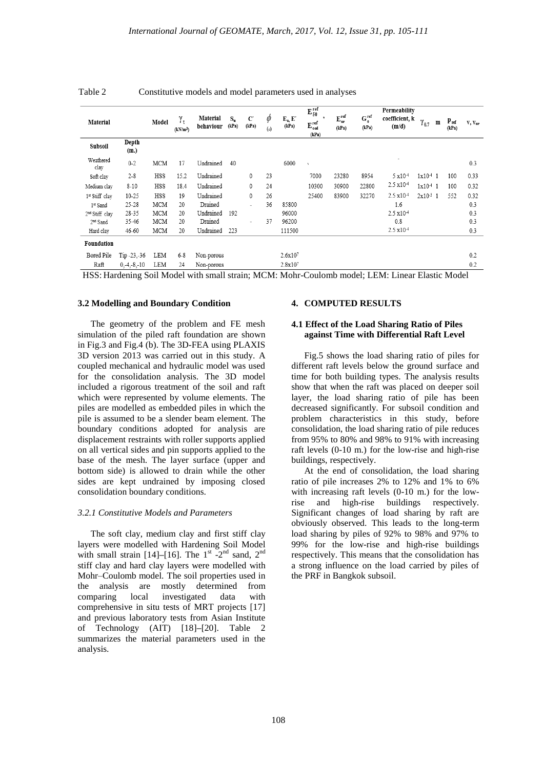| Material                   |                | Model      | $\gamma_{\rm t}$<br>(kN/m <sup>3</sup> ) | Material<br>behaviour | $S_n$<br>(kPa) | $\mathbf{C}'$<br>(kPa) | $\varphi$<br>$(\circ)$ | $E_u, E'$<br>(kPa) | $E_{50}^{\rm ref}$<br>٠<br>$\boldsymbol{\mathrm{E}}_{\mathrm{oed}}^{\mathrm{ref}}$<br>(kPa) | $\mathbf{E}_{\mathbf{u r}}^{\text{ref}}$<br>(kPa) | $\mathbf{G}_{\,\emptyset}^{\,\textrm{ref}}$<br>(kPa) | Permeability<br>coefficient, k<br>(m/d) | $\gamma_{0.7}$ | $\mathbf m$ | $P_{ref}$<br>(kPa) | $V, V_{ur}$ |
|----------------------------|----------------|------------|------------------------------------------|-----------------------|----------------|------------------------|------------------------|--------------------|---------------------------------------------------------------------------------------------|---------------------------------------------------|------------------------------------------------------|-----------------------------------------|----------------|-------------|--------------------|-------------|
| Subsoil                    | Depth<br>(m.)  |            |                                          |                       |                |                        |                        |                    |                                                                                             |                                                   |                                                      |                                         |                |             |                    |             |
| Weathered<br>clay          | $0 - 2$        | <b>MCM</b> | 17                                       | Undrained             | 40             |                        |                        | 6000               | ٠                                                                                           |                                                   |                                                      | ٠                                       |                |             |                    | 0.3         |
| Soft clay                  | $2 - 8$        | HSS        | 15.2                                     | Undrained             |                | 0                      | 23                     |                    | 7000                                                                                        | 23280                                             | 8954                                                 | 5 x10 <sup>-4</sup>                     | $1x10-4$ 1     |             | 100                | 0.33        |
| Medium clay                | $8 - 10$       | HSS        | 18.4                                     | Undrained             |                | $\mathbf{0}$           | 24                     |                    | 10300                                                                                       | 30900                                             | 22800                                                | $2.5 \times 10^{-4}$                    | $1x10-4$ 1     |             | 100                | 0.32        |
| 1st Stiff clay             | $10 - 25$      | <b>HSS</b> | 19                                       | Undrained             |                | $\mathbf{0}$           | 26                     |                    | 25400                                                                                       | 83900                                             | 32270                                                | $2.5 \times 10^{-4}$                    | $2x10^{-3}$ 1  |             | 552                | 0.32        |
| 1 <sup>st</sup> Sand       | $25 - 28$      | <b>MCM</b> | 20                                       | Drained               |                | ÷                      | 36                     | 85800              |                                                                                             |                                                   |                                                      | 1.6                                     |                |             |                    | 0.3         |
| 2 <sup>nd</sup> Stiff clay | 28-35          | <b>MCM</b> | 20                                       | Undrained             | 192            |                        |                        | 96000              |                                                                                             |                                                   |                                                      | 2.5 x10 <sup>-4</sup>                   |                |             |                    | 0.3         |
| 2 <sup>nd</sup> Sand       | 35-46          | MCM        | 20                                       | Drained               |                |                        | 37                     | 96200              |                                                                                             |                                                   |                                                      | 0.8                                     |                |             |                    | 0.3         |
| Hard clay                  | 46-60          | <b>MCM</b> | 20                                       | Undrained             | 223            |                        |                        | 111500             |                                                                                             |                                                   |                                                      | 2.5 x10 <sup>-4</sup>                   |                |             |                    | 0.3         |
| Foundation                 |                |            |                                          |                       |                |                        |                        |                    |                                                                                             |                                                   |                                                      |                                         |                |             |                    |             |
| Bored Pile                 | Tip $-23, -36$ | LEM        | $6 - 8$                                  | Non-porous            |                |                        |                        | 2.6x107            |                                                                                             |                                                   |                                                      |                                         |                |             |                    | 0.2         |
| Raft                       | $0,-4,-8,-10$  | LEM        | 24                                       | Non-porous            |                |                        |                        | 2.8x107            |                                                                                             |                                                   |                                                      |                                         |                |             |                    | 0.2         |

Table 2 Constitutive models and model parameters used in analyses

HSS: Hardening Soil Model with small strain; MCM: Mohr-Coulomb model; LEM: Linear Elastic Model

#### **3.2 Modelling and Boundary Condition**

The geometry of the problem and FE mesh simulation of the piled raft foundation are shown in Fig.3 and Fig.4 (b). The 3D-FEA using PLAXIS 3D version 2013 was carried out in this study. A coupled mechanical and hydraulic model was used for the consolidation analysis. The 3D model included a rigorous treatment of the soil and raft which were represented by volume elements. The piles are modelled as embedded piles in which the pile is assumed to be a slender beam element. The boundary conditions adopted for analysis are displacement restraints with roller supports applied on all vertical sides and pin supports applied to the base of the mesh. The layer surface (upper and bottom side) is allowed to drain while the other sides are kept undrained by imposing closed consolidation boundary conditions.

## *3.2.1 Constitutive Models and Parameters*

The soft clay, medium clay and first stiff clay layers were modelled with Hardening Soil Model with small strain  $[14]$ – $[16]$ . The 1<sup>st</sup> -2<sup>nd</sup> sand, 2<sup>nd</sup> stiff clay and hard clay layers were modelled with Mohr–Coulomb model. The soil properties used in the analysis are mostly determined from comparing local investigated data with comprehensive in situ tests of MRT projects [17] and previous laboratory tests from Asian Institute of Technology (AIT) [18]**–**[20]. Table 2 summarizes the material parameters used in the analysis.

#### **4. COMPUTED RESULTS**

## **4.1 Effect of the Load Sharing Ratio of Piles against Time with Differential Raft Level**

Fig.5 shows the load sharing ratio of piles for different raft levels below the ground surface and time for both building types. The analysis results show that when the raft was placed on deeper soil layer, the load sharing ratio of pile has been decreased significantly. For subsoil condition and problem characteristics in this study, before consolidation, the load sharing ratio of pile reduces from 95% to 80% and 98% to 91% with increasing raft levels (0-10 m.) for the low-rise and high-rise buildings, respectively.

At the end of consolidation, the load sharing ratio of pile increases 2% to 12% and 1% to 6% with increasing raft levels (0-10 m.) for the lowrise and high-rise buildings respectively. Significant changes of load sharing by raft are obviously observed. This leads to the long-term load sharing by piles of 92% to 98% and 97% to 99% for the low-rise and high-rise buildings respectively. This means that the consolidation has a strong influence on the load carried by piles of the PRF in Bangkok subsoil.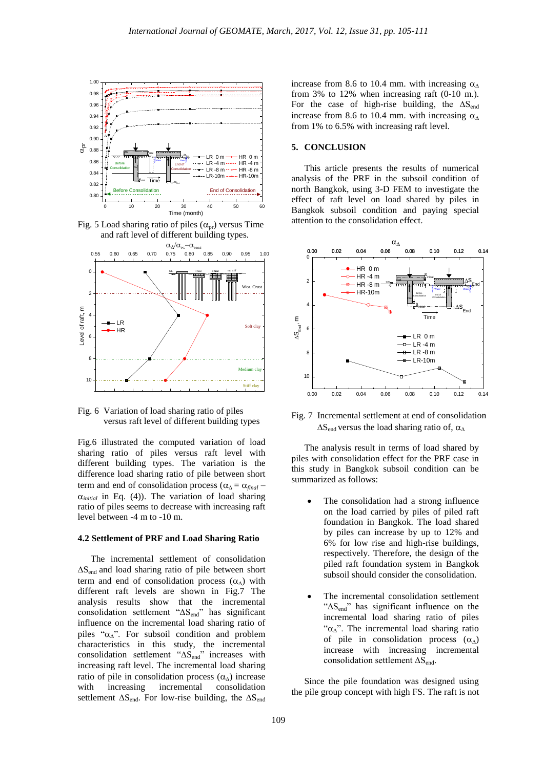

Fig. 5 Load sharing ratio of piles  $(\alpha_{pr})$  versus Time and raft level of different building types.



Fig. 6 Variation of load sharing ratio of piles versus raft level of different building types

Fig.6 illustrated the computed variation of load sharing ratio of piles versus raft level with different building types. The variation is the difference load sharing ratio of pile between short term and end of consolidation process ( $\alpha_{\Delta} = \alpha_{final}$  $\alpha_{initial}$  in Eq. (4)). The variation of load sharing ratio of piles seems to decrease with increasing raft level between -4 m to -10 m.

#### **4.2 Settlement of PRF and Load Sharing Ratio**

The incremental settlement of consolidation ∆Send and load sharing ratio of pile between short term and end of consolidation process  $(\alpha_{\Delta})$  with different raft levels are shown in Fig.7 The analysis results show that the incremental consolidation settlement "∆Send" has significant influence on the incremental load sharing ratio of piles " $\alpha_{\Lambda}$ ". For subsoil condition and problem characteristics in this study, the incremental consolidation settlement "∆Send" increases with increasing raft level. The incremental load sharing ratio of pile in consolidation process  $(\alpha_{\Delta})$  increase with increasing incremental consolidation settlement  $\Delta S_{\text{end}}$ . For low-rise building, the  $\Delta S_{\text{end}}$ 

increase from 8.6 to 10.4 mm. with increasing  $\alpha_{\Delta}$ from 3% to 12% when increasing raft (0-10 m.). For the case of high-rise building, the  $\Delta S_{end}$ increase from 8.6 to 10.4 mm. with increasing  $\alpha_{\Lambda}$ from 1% to 6.5% with increasing raft level.

### **5. CONCLUSION**

This article presents the results of numerical analysis of the PRF in the subsoil condition of north Bangkok, using 3-D FEM to investigate the effect of raft level on load shared by piles in Bangkok subsoil condition and paying special attention to the consolidation effect.



Fig. 7 Incremental settlement at end of consolidation  $\Delta S_{\text{end}}$  versus the load sharing ratio of,  $\alpha_{\Delta}$ 

The analysis result in terms of load shared by piles with consolidation effect for the PRF case in this study in Bangkok subsoil condition can be summarized as follows:

- The consolidation had a strong influence on the load carried by piles of piled raft foundation in Bangkok. The load shared by piles can increase by up to 12% and 6% for low rise and high-rise buildings, respectively. Therefore, the design of the piled raft foundation system in Bangkok subsoil should consider the consolidation.
- The incremental consolidation settlement "∆Send" has significant influence on the incremental load sharing ratio of piles " $\alpha_{\Lambda}$ ". The incremental load sharing ratio of pile in consolidation process  $(\alpha_{\Delta})$ increase with increasing incremental consolidation settlement  $\Delta S_{end}$ .

Since the pile foundation was designed using the pile group concept with high FS. The raft is not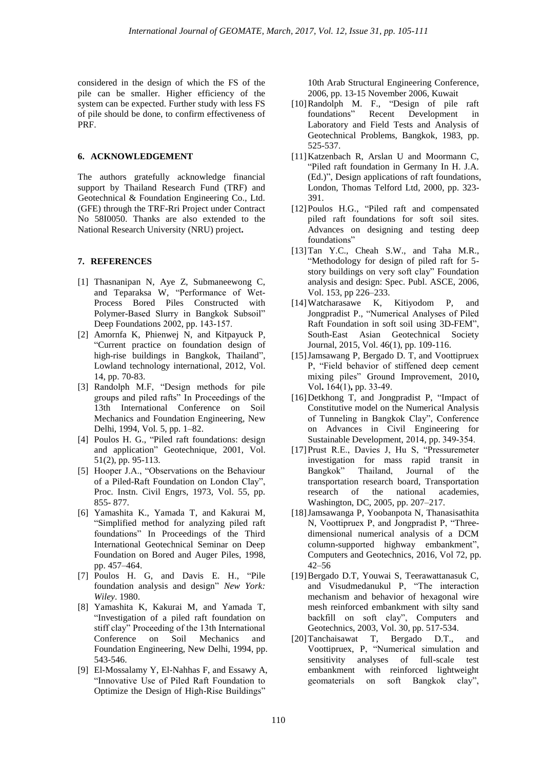considered in the design of which the FS of the pile can be smaller. Higher efficiency of the system can be expected. Further study with less FS of pile should be done, to confirm effectiveness of PRF.

## **6. ACKNOWLEDGEMENT**

The authors gratefully acknowledge financial support by Thailand Research Fund (TRF) and Geotechnical & Foundation Engineering Co., Ltd. (GFE) through the TRF-Rri Project under Contract No 58I0050. Thanks are also extended to the National Research University (NRU) project**.**

#### **7. REFERENCES**

- [1] Thasnanipan N, Aye Z, Submaneewong C, and Teparaksa W, "Performance of Wet-Process Bored Piles Constructed with Polymer-Based Slurry in Bangkok Subsoil" Deep Foundations 2002, pp. 143-157.
- [2] Amornfa K, Phienwej N, and Kitpayuck P, "Current practice on foundation design of high-rise buildings in Bangkok, Thailand", Lowland technology international, 2012, Vol. 14, pp. 70-83.
- [3] Randolph M.F, "Design methods for pile groups and piled rafts" In Proceedings of the 13th International Conference on Soil Mechanics and Foundation Engineering, New Delhi, 1994, Vol. 5, pp. 1–82.
- [4] Poulos H. G., "Piled raft foundations: design and application" Geotechnique, 2001, Vol. 51(2), pp. 95-113.
- [5] Hooper J.A., "Observations on the Behaviour of a Piled-Raft Foundation on London Clay", Proc. Instn. Civil Engrs, 1973, Vol. 55, pp. 855- 877.
- [6] Yamashita K., Yamada T, and Kakurai M, "Simplified method for analyzing piled raft foundations" In Proceedings of the Third International Geotechnical Seminar on Deep Foundation on Bored and Auger Piles, 1998, pp. 457–464.
- [7] Poulos H. G, and Davis E. H., "Pile foundation analysis and design" *New York: Wiley*. 1980.
- [8] Yamashita K, Kakurai M, and Yamada T, "Investigation of a piled raft foundation on stiff clay" Proceeding of the 13th International Conference on Soil Mechanics and Foundation Engineering, New Delhi, 1994, pp. 543-546.
- [9] El-Mossalamy Y, El-Nahhas F, and Essawy A, "Innovative Use of Piled Raft Foundation to Optimize the Design of High-Rise Buildings"

10th Arab Structural Engineering Conference, 2006, pp. 13-15 November 2006, Kuwait

- [10]Randolph M. F., "Design of pile raft foundations" Recent Development in Laboratory and Field Tests and Analysis of Geotechnical Problems, Bangkok, 1983, pp. 525-537.
- [11]Katzenbach R, Arslan U and Moormann C, "Piled raft foundation in Germany In H. J.A. (Ed.)", Design applications of raft foundations, London, Thomas Telford Ltd, 2000, pp. 323- 391.
- [12]Poulos H.G., "Piled raft and compensated piled raft foundations for soft soil sites. Advances on designing and testing deep foundations"
- [13]Tan Y.C., Cheah S.W., and Taha M.R., "Methodology for design of piled raft for 5 story buildings on very soft clay" Foundation analysis and design: Spec. Publ. ASCE, 2006, Vol. 153, pp 226–233.
- [14]Watcharasawe K, Kitiyodom P, and Jongpradist P., "Numerical Analyses of Piled Raft Foundation in soft soil using 3D-FEM", South-East Asian Geotechnical Society Journal, 2015, Vol. 46(1), pp. 109-116.
- [15]Jamsawang P, Bergado D. T, and Voottipruex P, "Field behavior of stiffened deep cement mixing piles" Ground Improvement, 2010**,** Vol**.** 164(1)**,** pp. 33-49.
- [16]Detkhong T, and Jongpradist P, "Impact of Constitutive model on the Numerical Analysis of Tunneling in Bangkok Clay", Conference on Advances in Civil Engineering for Sustainable Development, 2014, pp. 349-354.
- [17]Prust R.E., Davies J, Hu S, "Pressuremeter investigation for mass rapid transit in Bangkok" Thailand, Journal of the transportation research board, Transportation research of the national academies, Washington, DC, 2005, pp. 207–217.
- [18]Jamsawanga P, Yoobanpota N, Thanasisathita N, Voottipruex P, and Jongpradist P, "Threedimensional numerical analysis of a DCM column-supported highway embankment", Computers and Geotechnics, 2016, Vol 72, pp. 42–56
- [19]Bergado D.T, Youwai S, Teerawattanasuk C, and Visudmedanukul P, "The interaction mechanism and behavior of hexagonal wire mesh reinforced embankment with silty sand backfill on soft clay", Computers and Geotechnics, 2003, Vol. 30, pp. 517-534.
- [20]Tanchaisawat T, Bergado D.T., and Voottipruex, P, "Numerical simulation and sensitivity analyses of full-scale test embankment with reinforced lightweight geomaterials on soft Bangkok clay",